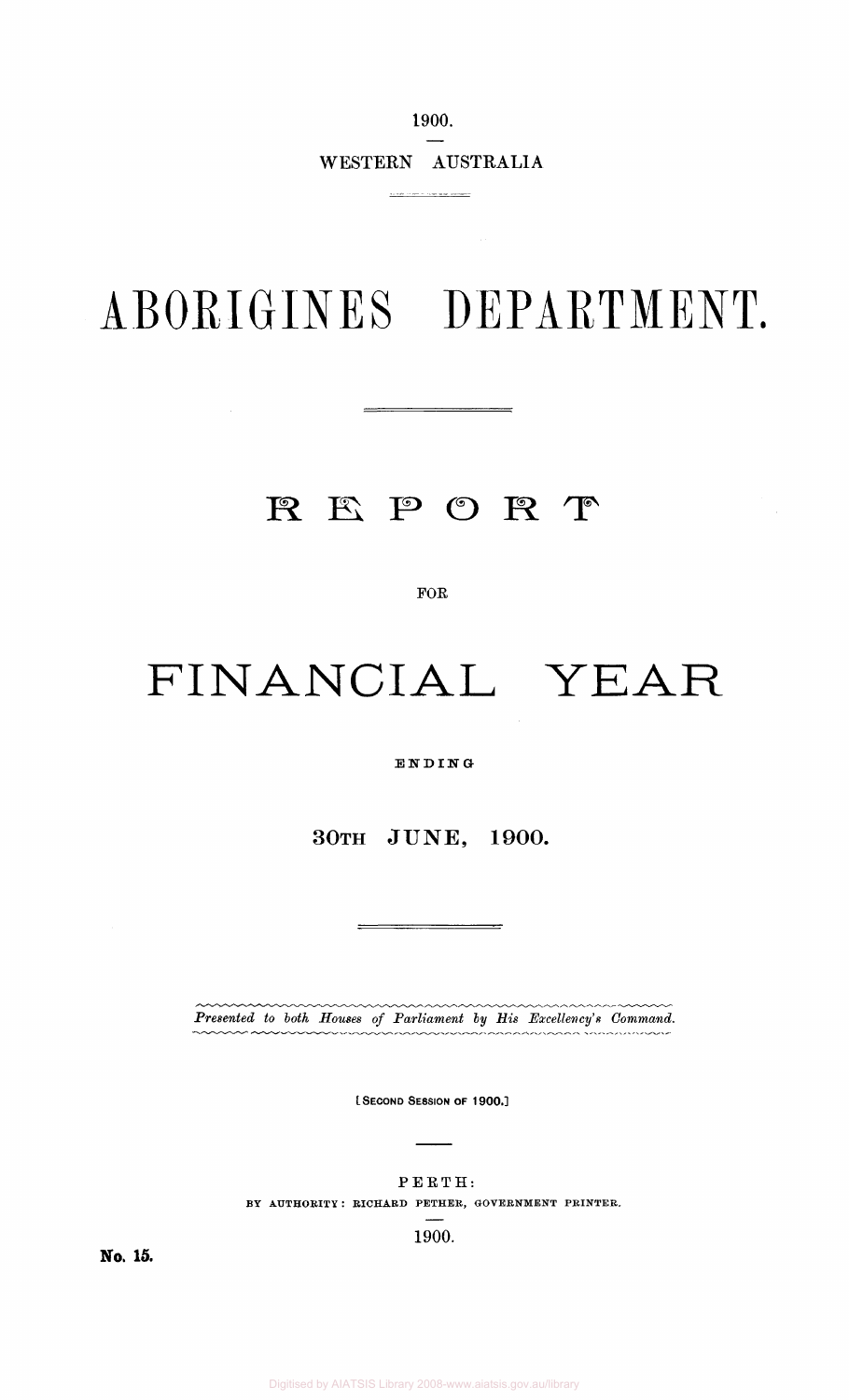1900.

WESTERN AUSTRALIA

# ABORIGINES DEPARTMENT.

# REPORT

 $\mathcal{L}^{\text{max}}_{\text{max}}$ 

FOR

# FINANCIAL YEAR

ENDIN G

30TH JUNE, 1900.

*Presented to both Houses of Parliament by His Excellency's Command.* 

(.SECOND SESSION OF 1900.]

#### PERTH:

#### BY AUTHORITY : RICHARD PETHER, GOVERNMENT PRINTER.

1900.

No. 15.

Digitised by AIATSIS Library 2008-www.aiatsis.gov.au/library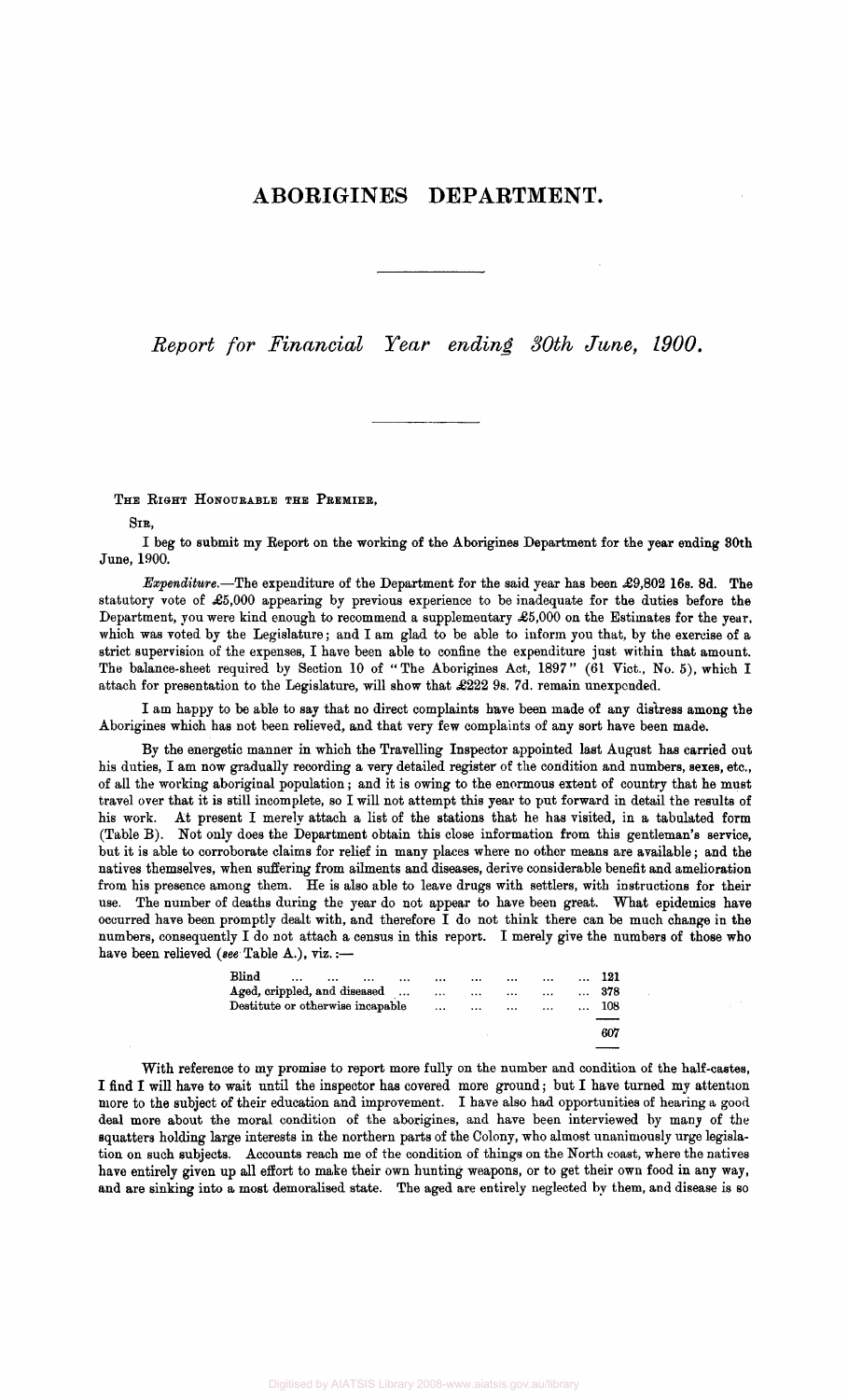### ABORIGINES DEPARTMENT.

*Report for Financial Year ending 80th June, 1900.* 

#### THE RIGHT HONOURABLE THE PREMIER,

SIR,

I beg to submit my Report on the working of the Aborigines Department for the year ending 80th June, 1900.

*Expenditure.*—The expenditure of the Department for the said year has been £9,802 16s. 8d. The statutory vote of £5,000 appearing by previous experience to be inadequate for the duties before the Department, you were kind enough to recommend a supplementary  $\pounds 5,000$  on the Estimates for the year, which was voted by the Legislature; and I am glad to be able to inform you that, by the exercise of a strict supervision of the expenses, I have been able to confine the expenditure just within that amount. The balance-sheet required by Section 10 of "The Aborigines Act, 1897" (61 Vict., No. 5), which I attach for presentation to the Legislature, will show that £222 9s. 7d. remain unexpended.

I am happy to be able to say that no direct complaints have been made of any distress among the Aborigines which has not been relieved, and that very few complaints of any sort have been made.

With reference to my promise to report more fully on the number and condition of the half-castes, I find I will have to wait until the inspector has covered more ground; but I have turned my attention more to the subject of their education and improvement. I have also had opportunities of hearing a good deal more about the moral condition of the aborigines, and have been interviewed by many of the squatters holding large interests in the northern parts of the Colony, who almost unanimously urge legislation on such subjects. Accounts reach me of the condition of things on the North coast, where the natives have entirely given up all effort to make their own hunting weapons, or to get their own food in any way, and are sinking into a most demoralised state. The aged are entirely neglected by them, and disease is so

By the energetic manner in which the Travelling Inspector appointed last August has carried out his duties, I am now gradually recording a very detailed register of the condition and numbers, sexes, etc., of all the working aboriginal population; and it is owing to the enormous extent of country that he must travel over that it is still incomplete, so I will not attempt this year to put forward in detail the results of his work. At present I merely attach a list of the stations that he has visited, in a tabulated form (Table B). Not only does the Department obtain this close information from this gentleman's service, but it is able to corroborate claims for relief in many places where no other means are available; and the natives themselves, when suffering from ailments and diseases, derive considerable benefit and amelioration from his presence among them. He is also able to leave drugs with settlers, with instructions for their use. The number of deaths during the year do not appear to have been great. What epidemics have occurred have been promptly dealt with, and therefore I do not think there can be much change in the numbers, consequently I do not attach a census in this report. I merely give the numbers of those who have been relieved *{see* Table A.), viz.:—

| Blind                                  |  |  |     |              |
|----------------------------------------|--|--|-----|--------------|
| Aged, crippled, and diseased       378 |  |  |     |              |
| Destitute or otherwise incapable       |  |  | 108 |              |
|                                        |  |  |     |              |
|                                        |  |  |     | $A \wedge B$ |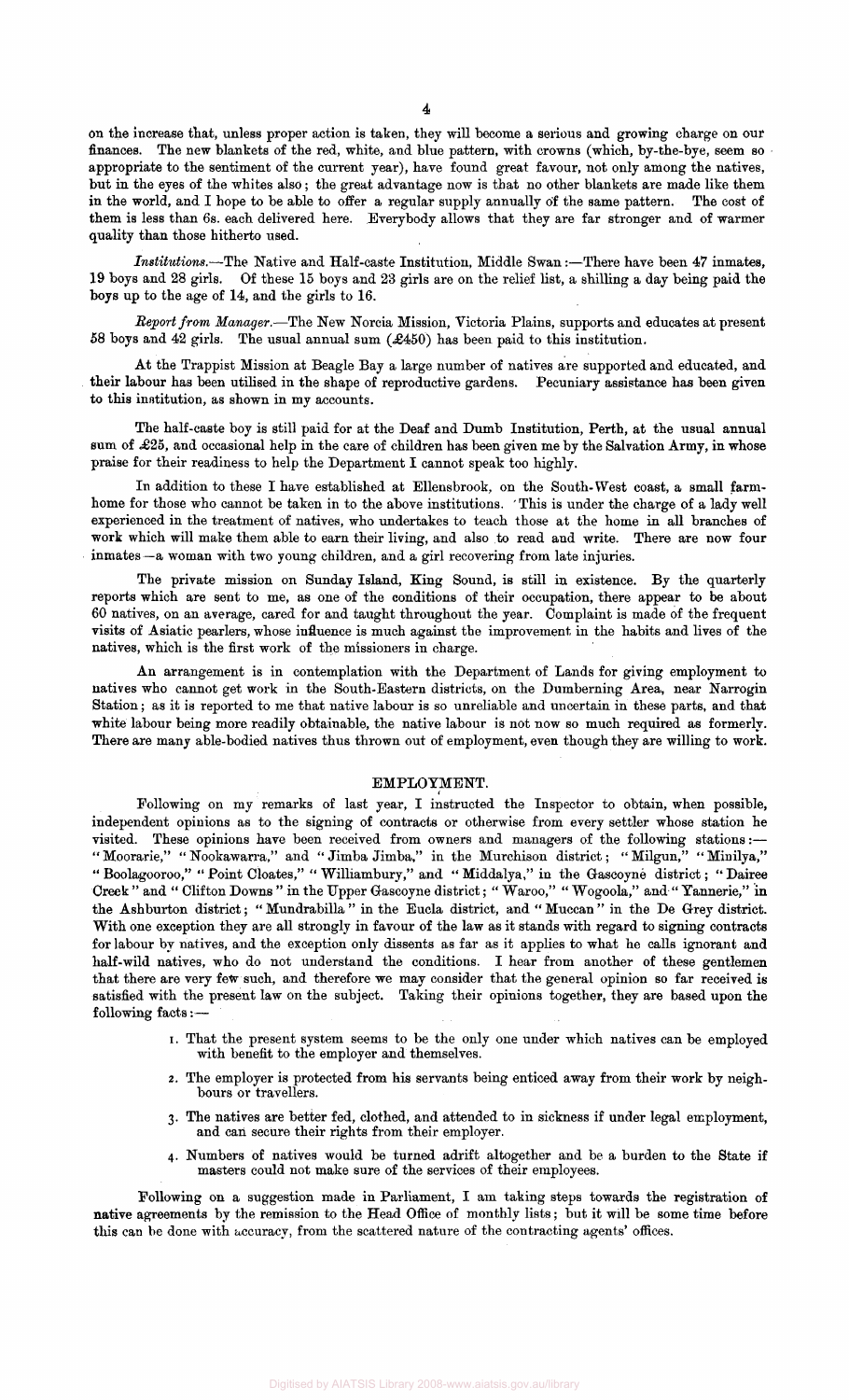on the increase that, unless proper action is taken, they will become a serious and growing charge on our finances. The new blankets of the red, white, and blue pattern, with crowns (which, by-the-bye, seem so appropriate to the sentiment of the current year), have found great favour, not only among the natives, but in the eyes of the whites also; the great advantage now is that no other blankets are made like them in the world, and I hope to be able to offer a regular supply annually of the same pattern. The cost of them is less than 6s. each delivered here. Everybody allows that they are far stronger and of warmer quality than those hitherto used.

*Report from Manager.*—The New Norcia Mission, Victoria Plains, supports and educates at present 58 boys and 42 girls. The usual annual sum  $(2450)$  has been paid to this institution.

*Institutions.*—The Native and Half-caste Institution, Middle Swan:—There have been 47 inmates, 19 boys and 28 girls. Of these 15 boys and 23 girls are on the relief list, a shilling a day being paid the boys up to the age of 14, and the girls to 16.

At the Trappist Mission at Beagle Bay a large number of natives are supported and educated, and their labour has been utilised in the shape of reproductive gardens. Pecuniary assistance has been given to this institution, as shown in my accounts.

The half-caste boy is still paid for at the Deaf and Dumb Institution, Perth, at the usual annual sum of  $\pounds25$ , and occasional help in the care of children has been given me by the Salvation Army, in whose praise for their readiness to help the Department I cannot speak too highly.

In addition to these I have established at Ellensbrook, on the South-West coast, a small farmhome for those who cannot be taken in to the above institutions. ' This is under the charge of a lady well experienced in the treatment of natives, who undertakes to teach those at the home in all branches of work which will make them able to earn their living, and also to read and write. There are now four inmates—a woman with two young children, and a girl recovering from late injuries.

Following on my remarks of last year, I instructed the Inspector to obtain, when possible, independent opinions as to the signing of contracts or otherwise from every settler whose station he visited. These opinions have been received from owners and managers of the following stations:— "Moorarie," " Nookawarra," and *"* Jimba Jimba," in the Murchison district; "Milgun," "Minilya," " Boolagooroo," " Point Cloates," " Williambury," and " Middalya," in the Gascoyne district; " Dairee Creek " and " Clifton Downs "in the Upper Gascoyne district; " Waroo," " Wogoola," and " Yannerie," in the Ashburton district; " Mundrabilla " in the Eucla district, and " Muccan " in the De Grey district. With one exception they are all strongly in favour of the law as it stands with regard to signing contracts for labour by natives, and the exception only dissents as far as it applies to what he calls ignorant and half-wild natives, who do not understand the conditions. I hear from another of these gentlemen that there are very few such, and therefore we may consider that the general opinion so far received is satisfied with the present law on the subject. Taking their opinions together, they are based upon the following facts:—

The private mission on Sunday Island, King Sound, is still in existence. By the quarterly reports which are sent to me, as one of the conditions of their occupation, there appear to be about 60 natives, on an average, cared for and taught throughout the year. Complaint is made of the frequent visits of Asiatic pearlers, whose influence is much against the improvement in the habits and lives of the natives, which is the first work of the missioners in charge.

An arrangement is in contemplation with the Department of Lands for giving employment to natives who cannot get work in the South-Eastern districts, on the Dumberning Area, near Narrogin Station; as it is reported to me that native labour is so unreliable and uncertain in these parts, and that white labour being more readily obtainable, the native labour is not now so much required as formerly. There are many able-bodied natives thus thrown out of employment, even though they are willing to work.

#### EMPLOYMENT.

- i. That the present system seems to be the only one under which natives can be employed with benefit to the employer and themselves.
- 2. The employer is protected from his servants being enticed away from their work by neighbours or travellers.
- 3. The natives are better fed, clothed, and attended to in sickness if under legal employment, and can secure their rights from their employer.
- 4. Numbers of natives would be turned adrift altogether and be a burden to the State if masters could not make sure of the services of their employees.

Following on a suggestion made in Parliament, I am taking steps towards the registration of native agreements by the remission to the Head Office of monthly lists; but it will be some time before this can be done with accuracy, from the scattered nature of the contracting agents' offices.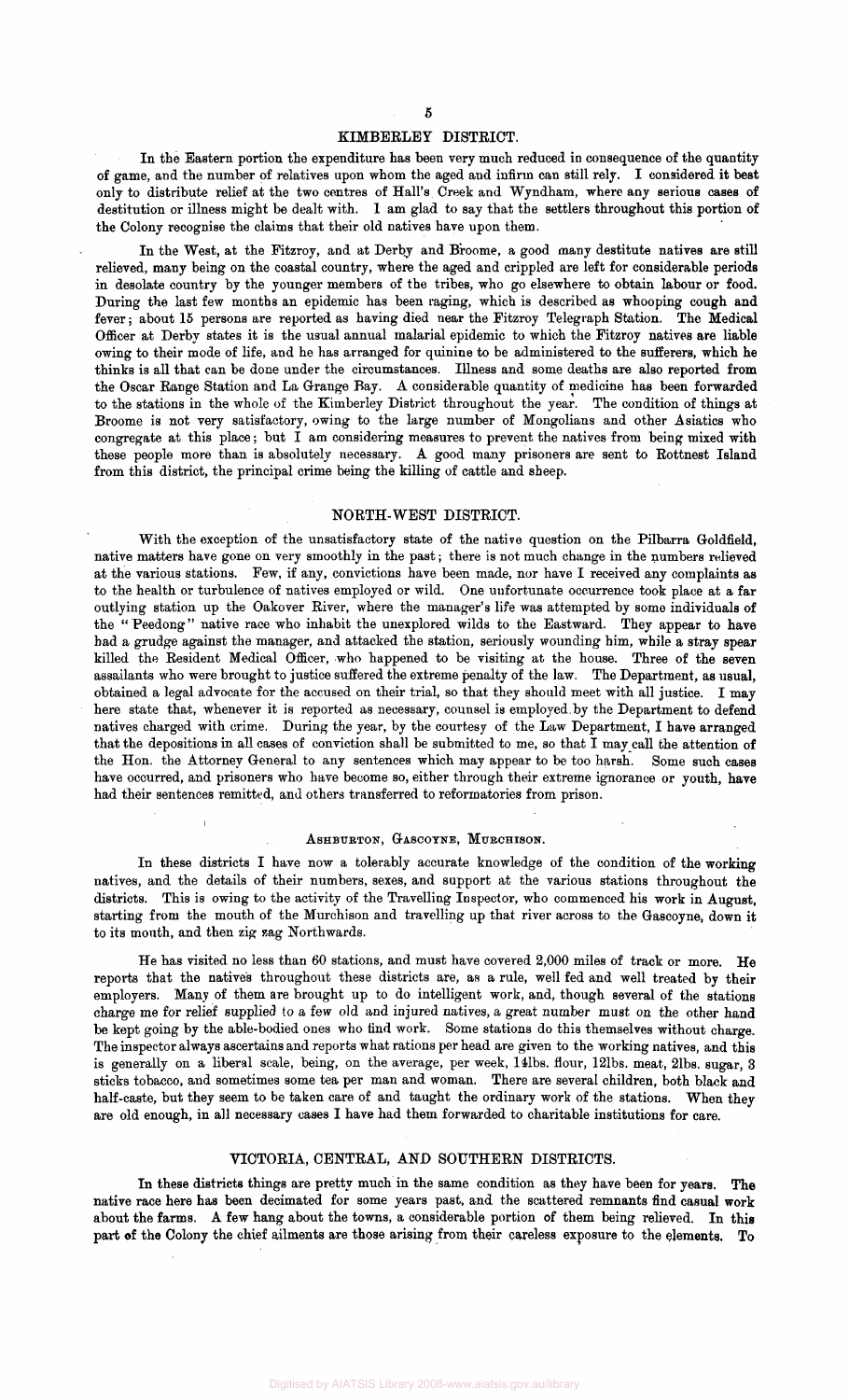#### KIMBERLEY DISTRICT.

In the Eastern portion the expenditure has been very much reduced in consequence of the quantity of game, and the number of relatives upon whom the aged and infirm can still rely. I considered it best only to distribute relief at the two centres of Hall's Creek and Wyndham, where any serious cases of destitution or illness might be dealt with. 1 am glad to say that the settlers throughout this portion of the Colony recognise the claims that their old natives have upon them.

In the West, at the Fitzroy, and at Derby and Broome, a good many destitute natives are still relieved, many being on the coastal country, where the aged and crippled are left for considerable periods in desolate country by the younger members of the tribes, who go elsewhere to obtain labour or food. During the last few months an epidemic has been raging, which is described as whooping cough and fever; about 15 persons are reported as having died near the Fitzroy Telegraph Station. The Medical Officer at Derby states it is the usual annual malarial epidemic to which the Fitzroy natives are liable owing to their mode of life, and he has arranged for quinine to be administered to the sufferers, which he thinks is all that can be done under the circumstances. Illness and some deaths are also reported from the Oscar Range Station and La Orange Bay. A considerable quantity of medicine has been forwarded to the stations in the whole of the Kimberley District throughout the year. The condition of things at Broome is not very satisfactory, owing to the large number of Mongolians and other Asiatics who congregate at this place; but I am considering measures to prevent the natives from being mixed with these people more than is absolutely necessary. A good many prisoners are sent to Rottnest Island from this district, the principal crime being the killing of cattle and sheep.

With the exception of the unsatisfactory state of the native question on the Pilbarra Goldfield, native matters have gone on very smoothly in the past; there is not much change in the numbers relieved at the various stations. Few, if any, convictions have been made, nor have I received any complaints as to the health or turbulence of natives employed or wild. One unfortunate occurrence took place at a far outlying station up the Oakover River, where the manager's life was attempted by some individuals of the " Peedong" native race who inhabit the unexplored wilds to the Eastward. They appear to have had a grudge against the manager, and attacked the station, seriously wounding him, while a stray spear killed the Resident Medical Officer, who happened to be visiting at the house. Three of the seven assailants who were brought to justice suffered the extreme penalty of the law. The Department, as usual, obtained a legal advocate for the accused on their trial, so that they should meet with all justice. I may here state that, whenever it is reported as necessary, counsel is employed.by the Department to defend natives charged with crime. During the year, by the courtesy of the Law Department, I have arranged that the depositions in all cases of conviction shall be submitted to me, so that I may call the attention of the Hon. the Attorney General to any sentences which may appear to be too harsh. Some such cases have occurred, and prisoners who have become so, either through their extreme ignorance or youth, have had their sentences remitted, and others transferred to reformatories from prison.

#### ASHBURTON, GASCOYNE, MURCHISON.

#### NORTH-WEST DISTRICT.

In these districts I have now a tolerably accurate knowledge of the condition of the working natives, and the details of their numbers, sexes, and support at the various stations throughout the districts. This is owing to the activity of the Travelling Inspector, who commenced his work in August, starting from the mouth of the Murchison and travelling up that river across to the Gascoyne, down it to its mouth, and then zig zag Northwards.

He has visited no less than 60 stations, and must have covered 2,000 miles of track or more. He reports that the natives throughout these districts are, as a rule, well fed and well treated by their employers. Many of them are brought up to do intelligent work, and, though several of the stations charge me for relief supplied to a few old and injured natives, a great number must on the other hand be kept going by the able-bodied ones who find work. Some stations do this themselves without charge. The inspector always ascertains and reports what rations per head are given to the working natives, and this is generally on a liberal scale, being, on the average, per week, 14lbs. flour, 12lbs. meat, 2lbs. sugar, 3 sticks tobacco, and sometimes some tea per man and woman. There are several children, both black and half-caste, but they seem to be taken care of and taught the ordinary work of the stations. When they are old enough, in all necessary cases I have had them forwarded to charitable institutions for care.

#### VICTORIA, CENTRAL, AND SOUTHERN DISTRICTS.

In these districts things are pretty much in the same condition as they have been for years. The native race here has been decimated for some years past, and the scattered remnants find casual work about the farms. A few hang about the towns, a considerable portion of them being relieved. In this part of the Colony the chief ailments are those arising from their careless exposure to the elements, To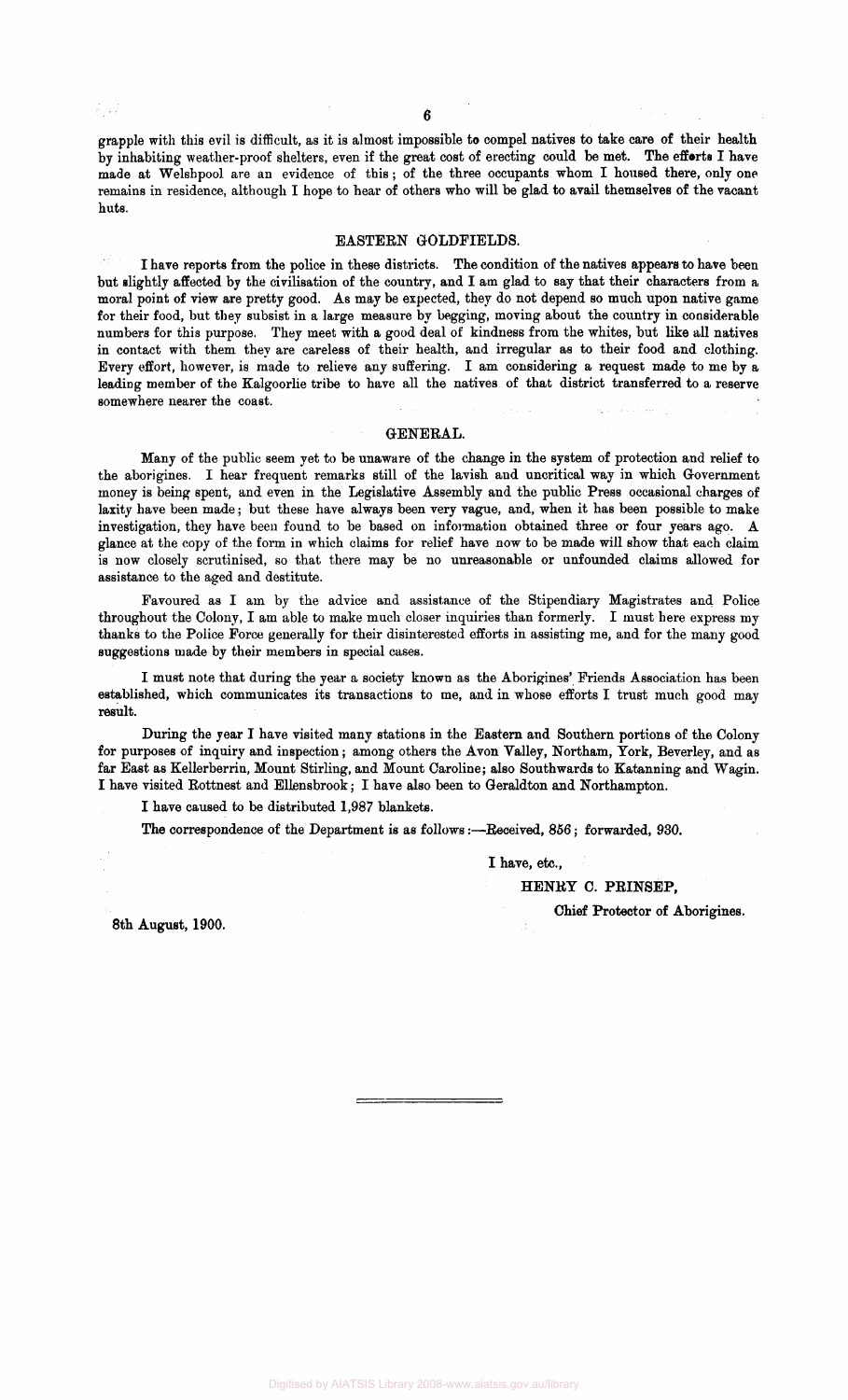a jar

grapple with this evil is difficult, as it is almost impossible to compel natives to take care of their health by inhabiting weather-proof shelters, even if the great cost of erecting could be met. The efforts I have made at Welshpool are an evidence of this ; of the three occupants whom I housed there, only one remains in residence, although I hope to hear of others who will be glad to avail themselves of the vacant huts.

#### EASTERN GOLDFIELDS.

I have reports from the police in these districts. The condition of the natives appears to have been but slightly affected by the civilisation of the country, and I am glad to say that their characters from a moral point of view are pretty good. As may be expected, they do not depend so much upon native game for their food, but they subsist in a large measure by begging, moving about the country in considerable numbers for this purpose. They meet with a good deal of kindness from the whites, but like all natives in contact with them they are careless of their health, and irregular as to their food and clothing. Every effort, however, is made to relieve any suffering. I am considering a request made to me by a leading member of the Kalgoorlie tribe to have all the natives of that district transferred to a reserve somewhere nearer the coast.

#### GENERAL.

Many of the public seem yet to be unaware of the change in the system of protection and relief to the aborigines. I hear frequent remarks still of the lavish and uncritical way in which Government money is being spent, and even in the Legislative Assembly and the public Press occasional charges of laxity have been made; but these have always been very vague, and, when it has been possible to make investigation, they have been found to be based on information obtained three or four years ago. A glance at the copy of the form in which claims for relief have now to be made will show that each claim is now closely scrutinised, so that there may be no unreasonable or unfounded claims allowed for assistance to the aged and destitute.

Favoured as I am by the advice and assistance of the Stipendiary Magistrates and Police throughout the Colony, I am able to make much closer inquiries than formerly. I must here express my thanks to the Police Force generally for their disinterested efforts in assisting me, and for the many good suggestions made by their members in special cases.

I must note that during the year a society known as the Aborigines' Friends Association has been established, which communicates its transactions to me, and in whose efforts I trust much good may result.

During the year I have visited many stations in the Eastern and Southern portions of the Colony for purposes of inquiry and inspection; among others the Avon Valley, Northam, York, Beverley, and as far East as Kellerberrin, Mount Stirling, and Mount Caroline; also Southwards to Katanning and Wagin. I have visited Rottnest and Ellensbrook; I have also been to Geraldton and Northampton.

I have caused to be distributed 1,987 blankets.

The correspondence of the Department is as follows:—Received, 856; forwarded, 930.

I have, etc.,

HENRY C. PRINSEP,

8th August, 1900.

Chief Protector of Aborigines.

Digitised by AIATSIS Library 2008-www.aiatsis.gov.au/library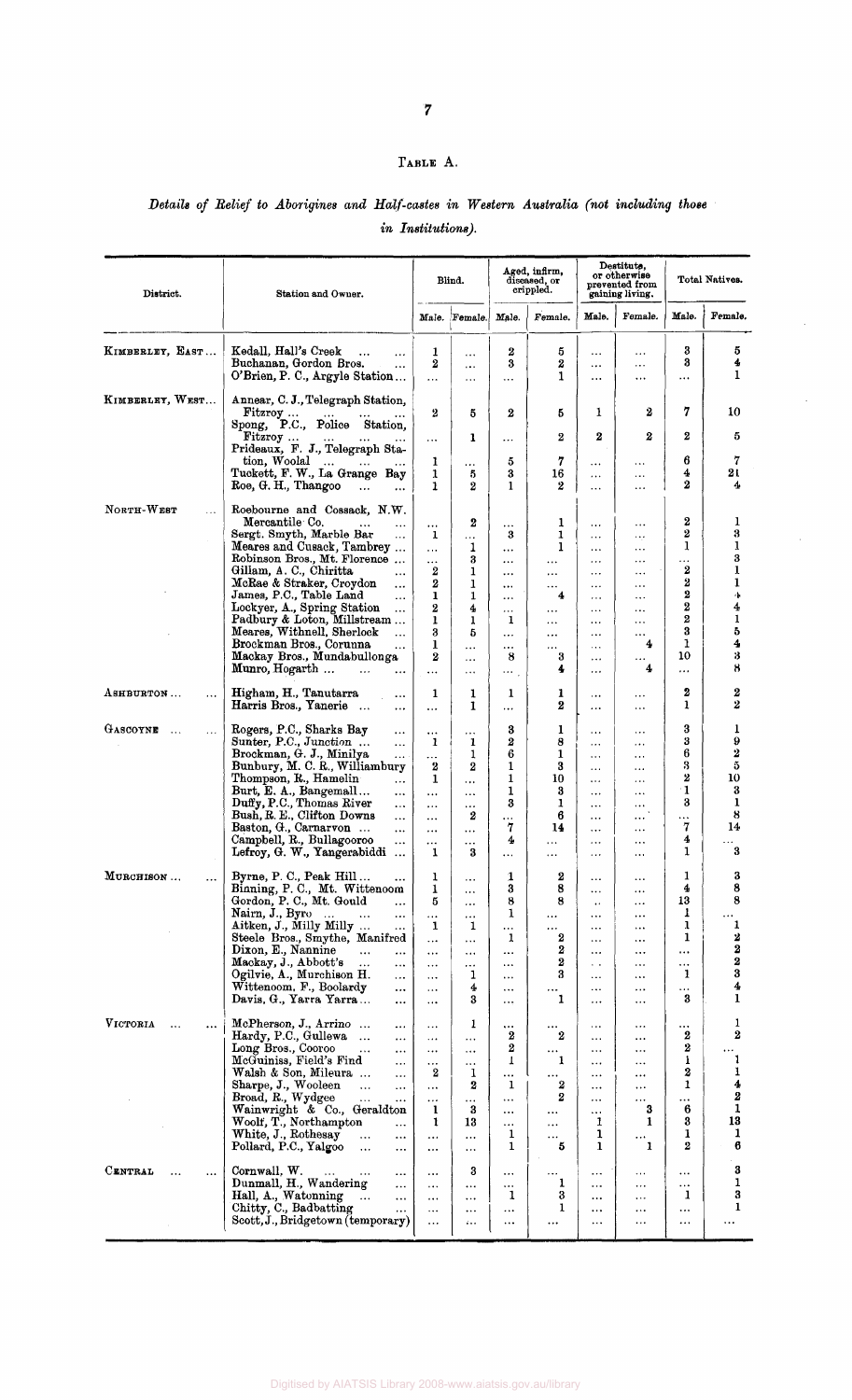## TABLE A.

## *Details of Belief to Aborigines and Half-castes in Western Australia (not including those in Institutions).*

 $\ddot{\phantom{a}}$ 

 $\bar{z}$ 

| District.                       | Station and Owner.                                                                                                                                                                                                                                                                                                                                                                                                                                             | Blind.                                                                                                        |                                                                                                                | Aged, infirm,<br>diseased, or<br>crippled.                                                              |                                                                                                           | Destitute,<br>or otherwise<br>prevented from<br>gaining living.                                                                                         |                                                                                                                                                | Total Natives.                                                            |                                                                        |
|---------------------------------|----------------------------------------------------------------------------------------------------------------------------------------------------------------------------------------------------------------------------------------------------------------------------------------------------------------------------------------------------------------------------------------------------------------------------------------------------------------|---------------------------------------------------------------------------------------------------------------|----------------------------------------------------------------------------------------------------------------|---------------------------------------------------------------------------------------------------------|-----------------------------------------------------------------------------------------------------------|---------------------------------------------------------------------------------------------------------------------------------------------------------|------------------------------------------------------------------------------------------------------------------------------------------------|---------------------------------------------------------------------------|------------------------------------------------------------------------|
|                                 |                                                                                                                                                                                                                                                                                                                                                                                                                                                                |                                                                                                               | Male. Female.                                                                                                  | Male.                                                                                                   | Female.                                                                                                   | Male.                                                                                                                                                   | Female.                                                                                                                                        | Male.                                                                     | Female.                                                                |
| KIMBERLEY, EAST                 | Kedall, Hall's Creek<br>$\ddotsc$<br>$\cdots$<br>Buchanan, Gordon Bros.<br>$\ddotsc$<br>O'Brien, P. C., Argyle Station                                                                                                                                                                                                                                                                                                                                         | 1<br>$\boldsymbol{2}$<br>$\ddot{\phantom{a}}$                                                                 | $\cdots$<br>$\cdots$<br>$\cdots$                                                                               | 2<br>3<br>                                                                                              | 5<br>2<br>1                                                                                               | $\cdots$<br>$\cdots$<br>$\cdots$                                                                                                                        | $\cdots$<br>$\cdots$<br>$\cdots$                                                                                                               | 3<br>3<br>$\ldots$                                                        | 5<br>4<br>1                                                            |
| KIMBERLEY, WEST                 | Annear, C. J., Telegraph Station,<br>Fitzroy                                                                                                                                                                                                                                                                                                                                                                                                                   | 2                                                                                                             | 5                                                                                                              | $\bf{2}$                                                                                                | 5                                                                                                         | 1                                                                                                                                                       | 2                                                                                                                                              | 7                                                                         | 10                                                                     |
|                                 | P.C., Police Station.<br>Spong,<br>Fitzroy<br>$\cdots$<br>$\sim 10^{-11}$<br>$\ldots$<br>Prideaux, F. J., Telegraph Sta-                                                                                                                                                                                                                                                                                                                                       | $\cdots$                                                                                                      | 1                                                                                                              | $\cdots$                                                                                                | 2                                                                                                         | 2                                                                                                                                                       | 2                                                                                                                                              | 2                                                                         | 5                                                                      |
|                                 | tion, Woolal<br>$\sim$<br>$\cdots$<br>$\bullet$ .<br><br>$\bullet$<br>Tuckett, F. W., La Grange Bay<br>Roe, G. H., Thangoo<br>$\ddotsc$<br>$\cdots$                                                                                                                                                                                                                                                                                                            | 1<br>1<br>1                                                                                                   | $\cdots$<br>5<br>$\boldsymbol{2}$                                                                              | 5<br>3<br>1                                                                                             | 7<br>16<br>2                                                                                              | $\cdots$<br>$\cdots$<br>$\cdots$                                                                                                                        | $\ldots$<br>$\cdots$<br>$\ldots$                                                                                                               | 6<br>4<br>2                                                               | 7<br>21<br>4                                                           |
| NORTH-WEST<br>$\ddotsc$         | Roebourne and Cossack, N.W.<br>Mercantile Co.<br>$\cdots$<br>$\cdots$<br>Sergt. Smyth, Marble Bar<br>$\cdots$<br>Meares and Cusack, Tambrey<br>Robinson Bros., Mt. Florence                                                                                                                                                                                                                                                                                    | $\cdots$<br>1<br>$\cdots$<br>$\cdots$                                                                         | $\boldsymbol{2}$<br>$\cdots$<br>1<br>3                                                                         | .<br>3<br>$\cdots$<br>$\cdots$                                                                          | 1<br>1<br>1<br>$\ddotsc$                                                                                  | $\cdots$<br>$\cdots$<br>$\ddotsc$<br>$\cdots$                                                                                                           | <br>$\ddotsc$<br>$\ldots$<br>$\ddot{\phantom{1}}$                                                                                              | 2<br>2<br>1<br>.                                                          | 1<br>3<br>1<br>3                                                       |
|                                 | Gillam, A. C., Chiritta<br>$\cdots$<br>McRae & Straker, Croydon<br>$\ddotsc$<br>James, P.C., Table Land<br>$\cdots$<br>Lockyer, A., Spring Station<br>$\ddotsc$<br>Padbury & Loton, Millstream<br>Meares, Withnell, Sherlock                                                                                                                                                                                                                                   | 2<br>2<br>1<br>$\overline{\mathbf{2}}$<br>$\mathbf{1}$<br>3                                                   | 1<br>1<br>1<br>4<br>1<br>5                                                                                     | $\cdots$<br>$\cdots$<br>$\ddotsc$<br>$\sim$ $\sim$ $\sim$<br>1                                          | $\cdots$<br>$\cdots$<br>4<br>.<br>$\cdots$                                                                | <br>.<br>$\cdots$<br>$\cdots$<br>$\cdots$                                                                                                               | $\ddotsc$<br>$\cdots$<br>$\cdots$<br>$\ddotsc$<br>$\cdots$                                                                                     | 2<br>2<br>2<br>2<br>2<br>3                                                | 1<br>1<br>Ą.<br>4<br>$\mathbf 1$<br>5                                  |
|                                 | $\dddotsc$<br>Brockman Bros., Corunna<br>$\cdots$<br>Mackay Bros., Mundabullonga<br>Munro, Hogarth<br>$\cdots$                                                                                                                                                                                                                                                                                                                                                 | 1<br>2<br>$\cdots$                                                                                            | $\ldots$<br>$\cdots$<br>$\cdots$                                                                               | $\ldots$<br>$\ddotsc$<br>8<br>$\cdots$                                                                  | <br>$\cdots$<br>3<br>4                                                                                    | $\ddotsc$<br>$\cdots$<br>$\cdots$<br>.                                                                                                                  | $\cdots$<br>4<br>$\cdots$<br>4                                                                                                                 | 1<br>10<br>$\cdots$                                                       | 4<br>3<br>8                                                            |
| ASHBURTON<br>$\cdots$           | Higham, H., Tanutarra<br>$\cdots$<br>Harris Bros., Yanerie<br>$\cdots$                                                                                                                                                                                                                                                                                                                                                                                         | 1<br>$\cdots$                                                                                                 | 1<br>1                                                                                                         | 1<br>$\cdots$                                                                                           | 1<br>2                                                                                                    | $\cdots$<br>$\cdots$                                                                                                                                    | $\cdots$<br>$\cdots$                                                                                                                           | 2<br>1                                                                    | 2<br>2                                                                 |
| GASCOYNE<br>$\sim$<br>$\ldots$  | Rogers, P.C., Sharks Bay<br>$\cdots$<br>Sunter, P.C., Junction<br>$\ddotsc$<br>Brockman, G. J., Minilya<br>$\cdots$<br>Bunbury, M. C. R., Williambury<br>Thompson, R., Hamelin<br>$\cdots$<br>Burt, E. A., Bangemall<br>$\ddotsc$<br>Duffy, P.C., Thomas River<br>$\ddotsc$<br>Bush, R. E., Clifton Downs<br>$\ldots$<br>Baston, G., Carnarvon<br>$\cdots$<br>Campbell, R., Bullagooroo<br>$\cdots$<br>Lefroy, G. W., Yangerabiddi<br>$\ddotsc$                | $\cdots$<br>1<br>$\ldots$<br>2<br>1<br>$\cdots$<br>$\cdots$<br>$\cdots$<br>$\cdots$<br><br>1                  | $\cdots$<br>1<br>$\mathbf 1$<br>$\bf{2}$<br>$\cdots$<br>$\cdots$<br>$\cdots$<br>2<br>$\cdots$<br>$\cdots$<br>3 | 3<br>2<br>6<br>1<br>1<br>1<br>3<br>$\cdots$<br>7<br>4<br>$\ddotsc$                                      | $\mathbf{1}$<br>8<br>1<br>3<br>10<br>3<br>1<br>6<br>14<br>$\cdots$<br>$\cdots$                            | $\ddotsc$<br>$\cdots$<br>$\cdots$<br>$\cdots$<br>$\ddotsc$<br>$\ldots$<br>$\cdots$<br>$\bullet$ $\bullet$ $\bullet$<br>$\cdots$<br>$\cdots$<br>$\cdots$ | $\ddotsc$<br>$\cdots$<br>$\cdots$<br>$\cdots$<br>$\cdots$<br>$\cdots$<br>$\cdots$<br><br>$\cdots$<br>$\cdots$<br>$\cdots$                      | 3<br>3<br>6<br>3<br>2<br>$\cdot$ 1<br>3<br>$\cdots$<br>$\bf{7}$<br>4<br>1 | ı<br>9<br>$\boldsymbol{2}$<br>5<br>10<br>3<br>1<br>8<br>14<br>$\bf{3}$ |
| MURCHISON<br>$\ldots$           | Byrne, P. C., Peak Hill<br>$\ddotsc$<br>Binning, P. C., Mt. Wittenoom<br>Gordon, P. C., Mt. Gould<br>$\cdots$<br>Nairn, J., Byro<br>$\ddotsc$<br>$\ddotsc$<br>$\cdots$<br>Aitken, J., Milly Milly<br>$\cdots$<br>Steele Bros., Smythe, Manifred<br>Dixon, E., Nannine<br>$\ddotsc$<br>$\cdots$<br>Mackay, J., Abbott's<br>.<br>$\cdots$<br>Ogilvie, A., Murchison H.<br>$\cdots$<br>Wittenoom, F., Boolardy<br>$\ddotsc$<br>Davis, G., Yarra Yarra<br>$\cdots$ | 1<br>1<br>5<br>$\cdots$<br>1<br>$\cdots$<br>$\cdots$<br>$\cdots$<br>$\cdots$<br>$\cdots$<br>$\cdots$          | $\cdots$<br>$\cdots$<br><br>$\cdots$<br>1<br>$\cdots$<br>$\cdots$<br>$\cdots$<br>1<br>4<br>3                   | $\mathbf 1$<br>3<br>8<br>1<br>$\cdots$<br>1<br>$\cdots$<br>$\cdots$<br>$\cdots$<br>$\cdots$<br>$\cdots$ | 2<br>8<br>8<br><br>.<br>2<br>2<br>2<br>3<br><br>1                                                         | $\ddotsc$<br>$\ddotsc$<br>$\bullet$ $\bullet$<br>$\ddotsc$<br>$\ddotsc$<br>$\ddotsc$<br>$\cdots$<br>. .<br>$\cdots$<br>$\cdots$<br>.                    | $\sim$ $\sim$ $\sim$<br>$\cdots$<br>$\ddotsc$<br>$\cdots$<br>$\cdots$<br>$\cdots$<br>$\cdots$<br>$\cdots$<br>$\ldots$<br>$\cdots$<br>$\ddotsc$ | 1<br>4<br>13<br>1<br>1<br>1<br>$\cdots$<br>$\cdots$<br>1<br><br>3         | 3<br>8<br>8<br>1<br>2<br>$\bf{2}$<br>2<br>3<br>4<br>$\mathbf{1}$       |
| VICTORIA                        | McPherson, J., Arrino<br>$\ddotsc$<br>Hardy, P.C., Gullewa<br>$\cdots$<br>Long Bros., Cooroo<br>$\cdots$<br>$\cdots$<br>McGuiniss, Field's Find<br>$\cdots$<br>Walsh & Son, Mileura<br>$\cdots$<br>Sharpe, J., Wooleen<br>$\ddotsc$<br>$\cdots$<br>Broad, R., Wydgee<br>$\cdots$<br>Wainwright & Co., Geraldton<br>Woolf, T., Northampton<br>$\ddotsc$<br>White, J., Rothesay<br>$\ddotsc$<br>$\cdots$<br>Pollard, P.C., Yalgoo<br>$\cdots$<br>$\cdots$        | $\cdots$<br>$\cdots$<br>$\cdots$<br>$\cdots$<br>2<br>$\cdots$<br>$\ddotsc$<br>1<br>1<br>$\ddotsc$<br>$\cdots$ | 1<br>$\cdots$<br>$\cdots$<br>$\cdots$<br>1<br>2<br>$\cdots$<br>$\bf{3}$<br>13<br>$\cdots$<br>$\cdots$          | $\cdots$<br>2<br>2<br>T<br>$\cdots$<br>1<br>$\ddotsc$<br>$\cdots$<br>$\cdots$<br>ı<br>1                 | $\cdots$<br>2<br>$\cdots$<br>1<br>$\ddot{\phantom{1}}$<br>2<br>2<br>$\cdots$<br>$\cdots$<br>$\cdots$<br>5 | $\cdots$<br>$\cdots$<br>$\sim$ 1. $\sim$<br>$\cdots$<br>$\cdots$<br>$\cdots$<br>$\ddotsc$<br>$\cdots$<br>1<br>ı<br>1                                    | $\ddotsc$<br>$\ddotsc$<br><br>.<br>$\cdots$<br>$\cdots$<br>.<br>3<br>1<br>$\cdots$<br>1                                                        | $\cdots$<br>2<br>2<br>1<br>2<br>1<br><br>$\boldsymbol{6}$<br>3<br>1<br>2  | 1<br>$\bf{2}$<br>1<br>1<br>4<br>$\boldsymbol{2}$<br>1<br>13<br>1<br>6  |
| CENTRAL<br>$\ddot{\phantom{0}}$ | Cornwall, W.<br>$\ddotsc$<br>Dunmall, H., Wandering<br>$\ddotsc$<br>Hall, A., Watonning<br>$\cdots$<br>$\cdots$<br>Chitty, C., Badbatting<br>$\cdots$<br>Scott, J., Bridgetown (temporary)                                                                                                                                                                                                                                                                     | $\cdots$<br>$\cdots$<br>$\cdots$<br>$\ddotsc$<br>$\cdots$                                                     | 3<br>$\cdots$<br>$\ldots$<br>$\ddotsc$<br>i                                                                    | $\cdots$<br>.<br>1<br><br>$\cdots$                                                                      | .<br>T.<br>3<br>1<br>$\cdots$                                                                             | .<br>.<br>$\cdots$<br>$\cdots$<br>$\ldots$                                                                                                              | .<br>$\cdots$<br>$\ddotsc$<br>$\cdots$<br>$\cdots$                                                                                             | $\cdots$<br>$\cdots$<br>1<br>$\ddotsc$<br>$\cdots$                        | 3<br>1<br>3<br>1<br>                                                   |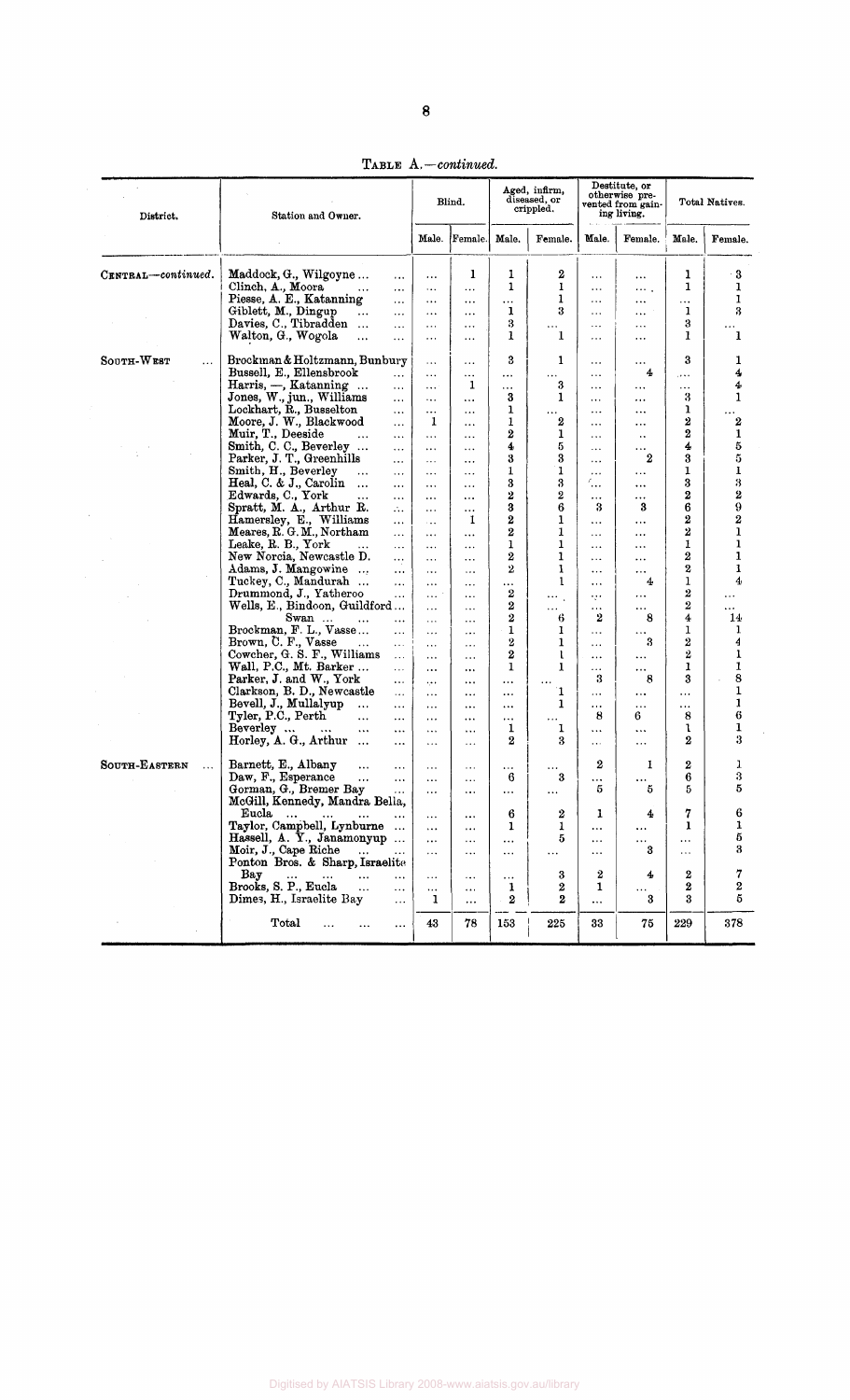TABLE *A.—continued.* 

| District.                 | Station and Owner.                                                     |                      | Blind.                           |                         | Aged, infirm,<br>diseased, or<br>crippled. |                                                   | Destitute, or<br>otherwise pre-<br>vented from gain-<br>ing living. |                      | Total Natives.          |  |
|---------------------------|------------------------------------------------------------------------|----------------------|----------------------------------|-------------------------|--------------------------------------------|---------------------------------------------------|---------------------------------------------------------------------|----------------------|-------------------------|--|
|                           |                                                                        | Male.                | Female.                          | Male.                   | Female.                                    | Male.                                             | Female.                                                             | Male.                | Female.                 |  |
| CENTRAL-continued.        | Maddock, G., Wilgoyne<br>$\cdots$                                      | $\cdots$             | 1                                | 1                       | 2                                          | $\cdots$                                          | $\cdots$                                                            | 1                    | 3                       |  |
|                           | Clinch, A., Moora<br>$\ddotsc$<br>$\cdots$                             | $\cdots$             | $\cdots$                         | 1                       | 1                                          | $\ldots$                                          | $\cdots$ .                                                          | 1                    | 1                       |  |
|                           | Piesse, A. E., Katanning<br>$\cdots$                                   | $\cdots$             | $\cdots$                         | $\cdots$                | 1                                          | $\ldots$                                          | $\ddotsc$                                                           | $\cdots$             | $\mathbf{1}$            |  |
|                           | Giblett, M., Dingup<br>$\cdots$<br>$\cdots$                            | $\cdots$             | $\cdots$                         | 1                       | 3                                          | $\cdots$                                          | $\cdots$                                                            | $\mathbf{1}$         | $\bf{3}$                |  |
|                           | Davies, C., Tibradden<br>$\ldots$                                      | .                    | $\cdots$                         | 3                       | $\cdots$                                   | $\ldots$                                          | $\ldots$                                                            | 3                    |                         |  |
|                           | Walton, G., Wogola<br>$\cdots$<br>.                                    | $\cdots$             | $\cdots$                         | 1                       | 1                                          | $\cdots$                                          | $\cdots$                                                            | 1                    | 1                       |  |
|                           |                                                                        |                      |                                  |                         |                                            |                                                   |                                                                     |                      |                         |  |
| SOUTH-WEST<br>$\ldots$    | Brockman & Holtzmann, Bunbury                                          | $\cdots$             | $\cdots$                         | 3                       | 1                                          | $\ddotsc$                                         | $\cdots$                                                            | 3                    | 1                       |  |
|                           | Bussell, E., Ellensbrook<br>$\cdots$                                   | $\ddotsc$            | $\cdots$                         | $\cdots$                | $\alpha$ is as:                            | $\cdots$                                          | 4                                                                   | $\cdots$             | 4                       |  |
|                           | Harris, -, Katanning<br>$\ldots$                                       | $\cdots$             | 1                                | .                       | 3                                          | $\cdots$                                          | $\cdots$                                                            | $\cdots$             | 4                       |  |
|                           | Jones, W., jun., Williams<br>$\cdots$                                  | $\ldots$             | $\cdots$                         | 3                       | 1                                          | $\cdots$                                          | $\ddotsc$                                                           | 3                    | 1                       |  |
|                           | Lockhart, R., Busselton<br>$\ldots$                                    | $\cdots$             | $\ddotsc$                        | ı                       | $\sim$ $\sim$                              | $\cdots$                                          | $\cdots$                                                            | ı                    |                         |  |
|                           | Moore, J. W., Blackwood<br>.                                           | 1                    | $\cdots$                         | 1                       | 2                                          | $\cdots$                                          | $\cdots$                                                            | $\boldsymbol{2}$     | $\boldsymbol{2}$        |  |
|                           | Muir, T., Deeside<br>$\ddotsc$<br>$\cdots$                             | $\cdots$             | $\ddotsc$                        | 2                       | ı                                          | .                                                 | н.                                                                  | $\boldsymbol{2}$     | 1                       |  |
|                           | Smith, C. C., Beverley<br>$\cdots$                                     | $\ldots$             | $\cdots$                         | 4                       | 5<br>3                                     | $\cdots$                                          | $\cdots$                                                            | 4                    | 5<br>5                  |  |
|                           | Parker, J. T., Greenhills<br>$\cdots$                                  | $\epsilon \sim 1$    | $\cdots$                         | 3<br>1                  | 1                                          | $\ldots$                                          | $\bf{2}$                                                            | 3<br>1               | $\bf{l}$                |  |
|                           | Smith, H., Beverley<br>$\ddotsc$<br>$\cdots$<br>Heal, C. & J., Carolin | $\ldots$ .           | $\cdots$                         | 3                       | 3                                          | $\cdots$<br>$\mathcal{L}_{\bullet\bullet\bullet}$ | $\ddotsc$                                                           | 3                    | 3                       |  |
|                           | $\dddot{\bullet}$<br>$\cdots$<br>Edwards, C., York                     | $\cdots$             | $\cdots$                         | $\boldsymbol{2}$        | 2                                          |                                                   | $\cdots$                                                            | $\bf{2}$             | 2                       |  |
|                           | $\ddotsc$<br>$\cdots$<br>Spratt, M. A., Arthur R.                      | $\cdots$             | $\cdots$                         | 3                       | 6                                          | $\ldots$<br>3                                     | $\ldots$<br>3                                                       | 6                    | $\bf{9}$                |  |
|                           | $\mathcal{L}_{\mathbf{r}}$<br>Hamersley, E., Williams                  | $\cdots$             | $\cdots$<br>1                    | 2                       | 1                                          |                                                   |                                                                     | $\boldsymbol{2}$     | $\overline{\mathbf{2}}$ |  |
|                           | $\cdots$<br>Meares, R. G. M., Northam                                  | $\sim 100$           |                                  | $\boldsymbol{2}$        | 1                                          | $\ldots$                                          | $\cdots$                                                            | 2                    | $\mathbf{1}$            |  |
|                           | $\cdots$<br>Leake, R. B., York                                         | $\sim$ $\sim$ $\sim$ | $\cdots$                         | 1                       | 1                                          | $\cdots$                                          | $\cdots$                                                            | 1                    | ı                       |  |
|                           | $\cdots$<br>New Norcia, Newcastle D.                                   | $\cdots$             | $\cdots$                         | 2                       | 1                                          | $\cdots$<br>$\ddotsc$                             | $\ldots$<br>$\cdots$                                                | $\boldsymbol{2}$     | $\mathbf{1}$            |  |
|                           | $\cdots$<br>Adams, J. Mangowine<br>$\cdots$                            | $\cdots$             | $\cdots$<br>$\ldots$             | $\overline{2}$          | 1                                          | $\ddotsc$                                         | $\ldots$                                                            | $\boldsymbol{2}$     | 1                       |  |
|                           | Tuckey, C., Mandurah<br>$\cdots$                                       | $\ldots$             |                                  | $\cdots$                | 1                                          | $\cdots$                                          | 4                                                                   | 1                    | 4                       |  |
|                           | Drummond, J., Yatheroo<br>$\cdots$                                     | $\cdots$<br>$\cdots$ | $\cdots$<br>$\sim$ $\sim$ $\sim$ | $\boldsymbol{2}$        | $\ddotsc$                                  |                                                   | $\ldots$                                                            | $\boldsymbol{2}$     |                         |  |
|                           | Wells, E., Bindoon, Guildford                                          | $\cdots$             | $\sim$ $\sim$ $\sim$             | $\bf{2}$                | .                                          | og e<br>$\ldots$                                  | $\cdots$                                                            | $\boldsymbol{2}$     | $\cdots$                |  |
|                           | Swan<br>$\cdots$<br>$\cdots$                                           | $\ddotsc$            | $\cdots$                         | $\overline{2}$          | 6                                          | 2                                                 | 8                                                                   | 4                    | 14 <sub>1</sub>         |  |
|                           | Brockman, F. L., Vasse<br>$\cdots$                                     | $\ldots$             | $\ldots$                         | 1                       | 1                                          | $\ddotsc$                                         | $\ldots$                                                            | ı                    | 1                       |  |
|                           | Brown, C. F., Vasse<br>$\ddotsc$<br>$\cdots$                           | $\cdots$             | $\ldots$                         | $\overline{\mathbf{2}}$ | 1                                          | $\cdots$                                          | 3                                                                   | $\bf{2}$             | 4                       |  |
|                           | Cowcher, G. S. F., Williams<br>$\mathbf{L}$                            | $\cdots$             | $\cdots$                         | $\boldsymbol{2}$        | t                                          | $\cdots$                                          | $\cdots$                                                            | 2                    | 1                       |  |
|                           | Wall, P.C., Mt. Barker<br>$\mathbf{r}$ , $\mathbf{r}$ ,                | $\cdots$             | $\cdots$                         | 1                       | 1                                          | $\cdots$                                          | $\ldots$                                                            | 1                    |                         |  |
|                           | Parker, J. and W., York<br>$\ldots$                                    | بالورد               | $\cdots$                         | $\cdots$                |                                            | 3                                                 | 8                                                                   | 3                    | 8                       |  |
|                           | Clarkson, B. D., Newcastle<br>$\ldots$                                 | $\cdots$             | $\cdots$                         | $\cdots$                | T.                                         | $\ldots$                                          | $\cdots$                                                            | $\cdots$             |                         |  |
|                           | Bevell, J., Mullalyup<br>$\cdots$<br>$\cdots$                          | $\cdots$             | $\cdots$                         | $\cdots$                | 1                                          | $\cdots$                                          | $\bullet$ $\bullet$ $\bullet$                                       | $\cdots$             |                         |  |
|                           | Tyler, P.C., Perth<br>$\ddotsc$<br>$\cdots$                            | $\cdots$             | $\cdots$                         | $\cdots$                | $\cdots$                                   | 8                                                 | 6                                                                   | 8                    | 6                       |  |
|                           | Beverley<br>$\cdots$<br>$\cdots$<br>$\cdots$                           | $\cdots$             | $\sim$ $\sim$ $\sim$             | 1                       | 1                                          | $\ldots$                                          | $\cdots$                                                            | ı                    | $\mathbf{1}$            |  |
|                           | Horley, A. G., Arthur<br>$\ddotsc$<br>$\cdots$                         | $\cdots$             | $\ldots$                         | $\overline{2}$          | 3                                          | $\ldots$                                          | $\cdots$                                                            | 2                    | 3                       |  |
|                           |                                                                        |                      |                                  |                         |                                            | $\boldsymbol{2}$                                  |                                                                     |                      |                         |  |
| SOUTH-EASTERN<br>$\cdots$ | Barnett, E., Albany<br>$\cdots$<br>$\cdots$                            | $\cdots$             | $\cdots$                         | $\cdots$                |                                            |                                                   | 1                                                                   | $\boldsymbol{2}$     | ı<br>3                  |  |
|                           | Daw, F., Esperance<br>$\cdots$<br>$\ddotsc$<br>Gorman, G., Bremer Bay  | $\cdots$             | $\sim$ $\sim$                    | 6                       | 3                                          | .<br>5                                            | 5                                                                   | 6<br>5.              | 5                       |  |
|                           | .<br>McGill, Kennedy, Mandra Bella,                                    | .                    | $\cdots$                         | $\cdots$                | $\cdots$                                   |                                                   |                                                                     |                      |                         |  |
|                           | Eucla<br>$\sim$                                                        |                      |                                  | 6                       | 2                                          | 1                                                 | 4                                                                   | 7                    | 6                       |  |
|                           | $\cdots$<br>Taylor, Campbell, Lynburne                                 | $\cdots$             | $\cdots$                         | 1                       | 1                                          |                                                   |                                                                     | 1                    | 1                       |  |
|                           | Hassell, A. Y., Janamonyup                                             | $\cdots$             | $\cdots$                         |                         | 5                                          | $\cdots$                                          | $\cdots$                                                            |                      | $\bf 5$                 |  |
|                           | Moir, J., Cape Riche                                                   | $\cdots$<br>$\cdots$ | $\cdots$                         | $\cdots$                |                                            | $\cdots$                                          | $\bullet$ $\bullet$ $\bullet$ .<br>3                                | $\cdots$<br>$\cdots$ | 3                       |  |
|                           | Ponton Bros. & Sharp, Israelite                                        |                      | $\cdots$                         | $\cdots$                | $\cdots$                                   | $\cdots$                                          |                                                                     |                      |                         |  |
|                           | Bay<br>$\cdots$<br>$\cdots$<br>$\ddotsc$<br>$\cdots$                   | $\cdots$             | $\cdots$                         | $\cdots$                | 3                                          | 2                                                 | 4                                                                   | 2                    | 7                       |  |
|                           | Brooks, S. P., Eucla<br>$\ddotsc$<br>$\ddotsc$                         | $\ddotsc$            | $\cdots$                         | 1                       | $\bf{2}$                                   | 1                                                 | $\cdots$                                                            | 2                    | $\bf{2}$                |  |
|                           | Dimes, H., Israelite Bay<br>$\cdots$                                   | 1                    | $\cdots$                         | $\bf{2}$                | $\bf{2}$                                   | $\ldots$                                          | 3                                                                   | 3                    | $\bf 5$                 |  |
|                           |                                                                        |                      |                                  |                         |                                            |                                                   |                                                                     |                      |                         |  |
|                           | Total<br>$\cdots$                                                      | 43                   | 78                               | 153                     | 225                                        | 33                                                | 75                                                                  | 229                  | 378                     |  |

Digitised by AIATSIS Library 2008-www.aiatsis.gov.au/library